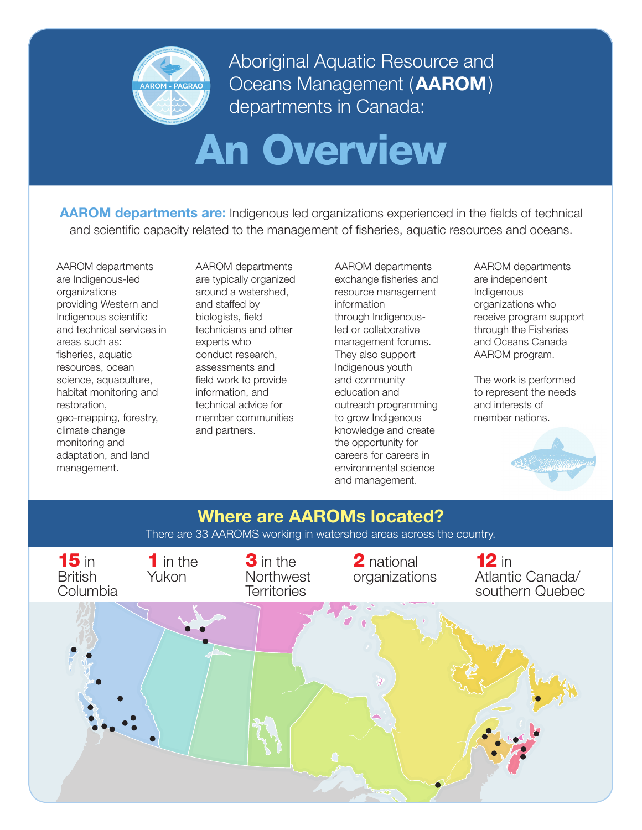

Aboriginal Aquatic Resource and Oceans Management (**AAROM**) departments in Canada:

# An Overview

**AAROM departments are:** Indigenous led organizations experienced in the fields of technical and scientific capacity related to the management of fisheries, aquatic resources and oceans.

AAROM departments are Indigenous-led organizations providing Western and Indigenous scientific and technical services in areas such as: fisheries, aquatic resources, ocean science, aquaculture, habitat monitoring and restoration, geo-mapping, forestry, climate change monitoring and adaptation, and land management.

AAROM departments are typically organized around a watershed, and staffed by biologists, field technicians and other experts who conduct research, assessments and field work to provide information, and technical advice for member communities and partners.

AAROM departments exchange fisheries and resource management information through Indigenousled or collaborative management forums. They also support Indigenous youth and community education and outreach programming to grow Indigenous knowledge and create the opportunity for careers for careers in environmental science and management.

AAROM departments are independent Indigenous organizations who receive program support through the Fisheries and Oceans Canada AAROM program.

The work is performed to represent the needs and interests of member nations.